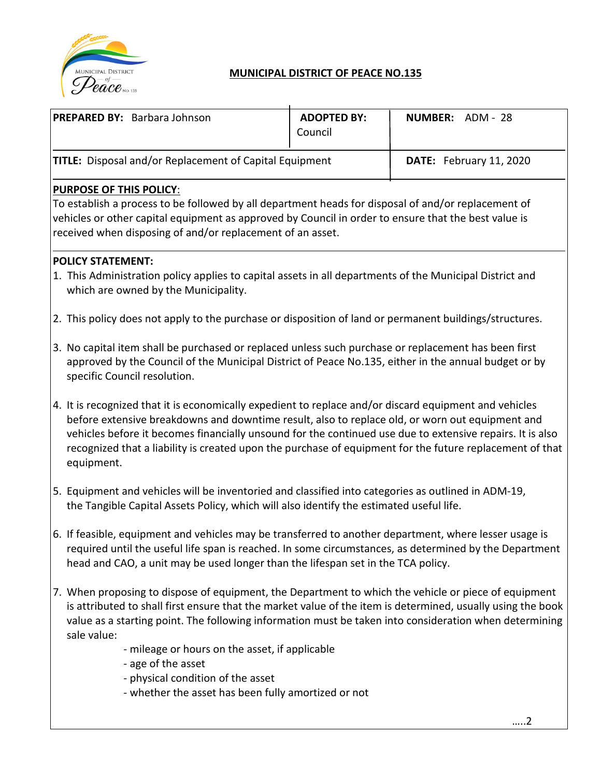

# **MUNICIPAL DISTRICT OF PEACE NO.135**

| <b>PREPARED BY: Barbara Johnson</b>                                                                                                                                                                                                                                                                                                                                                                                                              | <b>ADOPTED BY:</b><br>Council | NUMBER: ADM - 28        |  |  |
|--------------------------------------------------------------------------------------------------------------------------------------------------------------------------------------------------------------------------------------------------------------------------------------------------------------------------------------------------------------------------------------------------------------------------------------------------|-------------------------------|-------------------------|--|--|
| <b>TITLE:</b> Disposal and/or Replacement of Capital Equipment                                                                                                                                                                                                                                                                                                                                                                                   |                               | DATE: February 11, 2020 |  |  |
| <b>PURPOSE OF THIS POLICY:</b><br>To establish a process to be followed by all department heads for disposal of and/or replacement of<br>vehicles or other capital equipment as approved by Council in order to ensure that the best value is<br>received when disposing of and/or replacement of an asset.                                                                                                                                      |                               |                         |  |  |
| <b>POLICY STATEMENT:</b><br>1. This Administration policy applies to capital assets in all departments of the Municipal District and<br>which are owned by the Municipality.                                                                                                                                                                                                                                                                     |                               |                         |  |  |
| 2. This policy does not apply to the purchase or disposition of land or permanent buildings/structures.                                                                                                                                                                                                                                                                                                                                          |                               |                         |  |  |
| 3. No capital item shall be purchased or replaced unless such purchase or replacement has been first<br>approved by the Council of the Municipal District of Peace No.135, either in the annual budget or by<br>specific Council resolution.                                                                                                                                                                                                     |                               |                         |  |  |
| 4. It is recognized that it is economically expedient to replace and/or discard equipment and vehicles<br>before extensive breakdowns and downtime result, also to replace old, or worn out equipment and<br>vehicles before it becomes financially unsound for the continued use due to extensive repairs. It is also<br>recognized that a liability is created upon the purchase of equipment for the future replacement of that<br>equipment. |                               |                         |  |  |
| 5. Equipment and vehicles will be inventoried and classified into categories as outlined in ADM-19,<br>the Tangible Capital Assets Policy, which will also identify the estimated useful life.                                                                                                                                                                                                                                                   |                               |                         |  |  |
| 6. If feasible, equipment and vehicles may be transferred to another department, where lesser usage is<br>required until the useful life span is reached. In some circumstances, as determined by the Department<br>head and CAO, a unit may be used longer than the lifespan set in the TCA policy.                                                                                                                                             |                               |                         |  |  |
| 7. When proposing to dispose of equipment, the Department to which the vehicle or piece of equipment<br>is attributed to shall first ensure that the market value of the item is determined, usually using the book<br>value as a starting point. The following information must be taken into consideration when determining<br>sale value:                                                                                                     |                               |                         |  |  |
| - mileage or hours on the asset, if applicable<br>- age of the asset<br>- physical condition of the asset<br>- whether the asset has been fully amortized or not                                                                                                                                                                                                                                                                                 |                               |                         |  |  |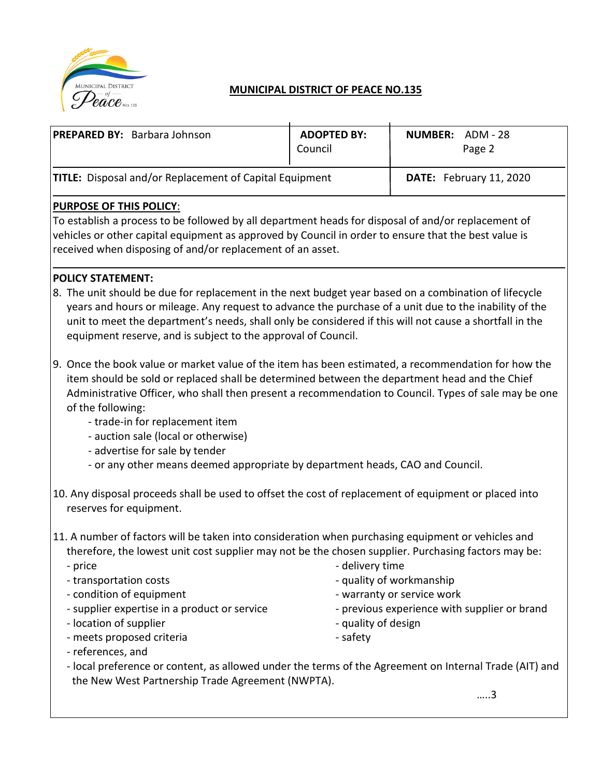

## **MUNICIPAL DISTRICT OF PEACE NO.135**

| <b>PREPARED BY: Barbara Johnson</b>                                                                                                                    | <b>ADOPTED BY:</b><br>Council | <b>NUMBER: ADM - 28</b><br>Page 2 |  |  |
|--------------------------------------------------------------------------------------------------------------------------------------------------------|-------------------------------|-----------------------------------|--|--|
| <b>TITLE:</b> Disposal and/or Replacement of Capital Equipment                                                                                         |                               | DATE: February 11, 2020           |  |  |
| <b>PURPOSE OF THIS POLICY:</b><br>المستحدث والمتحد وماراه ورمائه المحمودان ومالحهم والتوجيع والمستملح المربط المستمرا والمتحدد ومحدد والمناطر والمناجح |                               |                                   |  |  |

To establish a process to be followed by all department heads for disposal of and/or replacement of vehicles or other capital equipment as approved by Council in order to ensure that the best value is received when disposing of and/or replacement of an asset.

#### **POLICY STATEMENT:**

- 8. The unit should be due for replacement in the next budget year based on a combination of lifecycle years and hours or mileage. Any request to advance the purchase of a unit due to the inability of the unit to meet the department's needs, shall only be considered if this will not cause a shortfall in the equipment reserve, and is subject to the approval of Council.
- 9. Once the book value or market value of the item has been estimated, a recommendation for how the item should be sold or replaced shall be determined between the department head and the Chief Administrative Officer, who shall then present a recommendation to Council. Types of sale may be one of the following:
	- trade-in for replacement item
	- auction sale (local or otherwise)
	- advertise for sale by tender
	- or any other means deemed appropriate by department heads, CAO and Council.
- 10. Any disposal proceeds shall be used to offset the cost of replacement of equipment or placed into reserves for equipment.
- 11. A number of factors will be taken into consideration when purchasing equipment or vehicles and therefore, the lowest unit cost supplier may not be the chosen supplier. Purchasing factors may be:
	-
	-
	-
	-
	- location of supplier  $\overline{\phantom{a}}$  quality of design
	- meets proposed criteria safety
	- price  $\overline{\phantom{a}}$  delivery time
	- transportation costs quality of workmanship
	- condition of equipment  $\blacksquare$
	- supplier expertise in a product or service previous experience with supplier or brand
		-
		-
- references, and
- local preference or content, as allowed under the terms of the Agreement on Internal Trade (AIT) and the New West Partnership Trade Agreement (NWPTA).

…..3